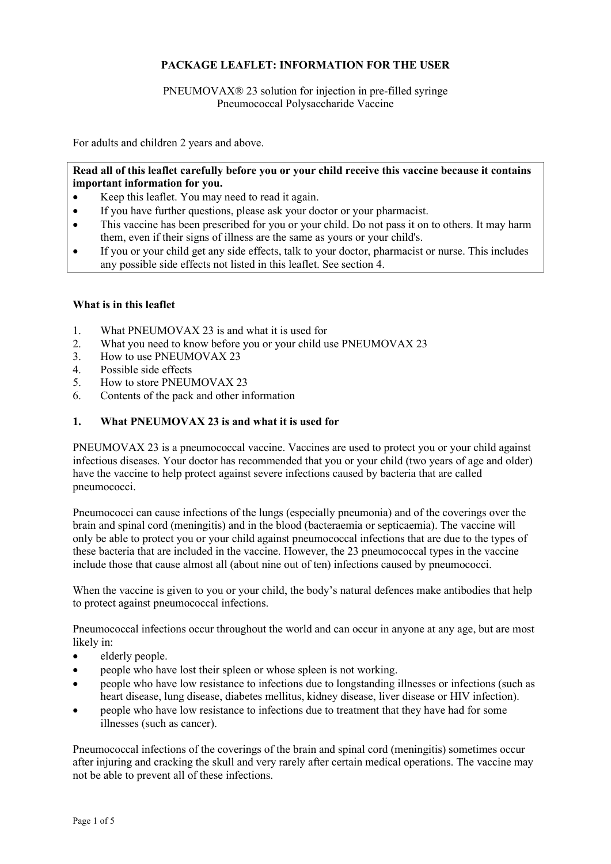# **PACKAGE LEAFLET: INFORMATION FOR THE USER**

## PNEUMOVAX® 23 solution for injection in pre-filled syringe Pneumococcal Polysaccharide Vaccine

For adults and children 2 years and above.

## **Read all of this leaflet carefully before you or your child receive this vaccine because it contains important information for you.**

- Keep this leaflet. You may need to read it again.
- If you have further questions, please ask your doctor or your pharmacist.
- This vaccine has been prescribed for you or your child. Do not pass it on to others. It may harm them, even if their signs of illness are the same as yours or your child's.
- If you or your child get any side effects, talk to your doctor, pharmacist or nurse. This includes any possible side effects not listed in this leaflet. See section 4.

#### **What is in this leaflet**

- 1. What PNEUMOVAX 23 is and what it is used for
- 2. What you need to know before you or your child use PNEUMOVAX 23
- 3. How to use PNEUMOVAX 23
- 4. Possible side effects
- 5. How to store PNEUMOVAX 23
- 6. Contents of the pack and other information

# **1. What PNEUMOVAX 23 is and what it is used for**

PNEUMOVAX 23 is a pneumococcal vaccine. Vaccines are used to protect you or your child against infectious diseases. Your doctor has recommended that you or your child (two years of age and older) have the vaccine to help protect against severe infections caused by bacteria that are called pneumococci.

Pneumococci can cause infections of the lungs (especially pneumonia) and of the coverings over the brain and spinal cord (meningitis) and in the blood (bacteraemia or septicaemia). The vaccine will only be able to protect you or your child against pneumococcal infections that are due to the types of these bacteria that are included in the vaccine. However, the 23 pneumococcal types in the vaccine include those that cause almost all (about nine out of ten) infections caused by pneumococci.

When the vaccine is given to you or your child, the body's natural defences make antibodies that help to protect against pneumococcal infections.

Pneumococcal infections occur throughout the world and can occur in anyone at any age, but are most likely in:

- elderly people.
- people who have lost their spleen or whose spleen is not working.
- people who have low resistance to infections due to longstanding illnesses or infections (such as heart disease, lung disease, diabetes mellitus, kidney disease, liver disease or HIV infection).
- people who have low resistance to infections due to treatment that they have had for some illnesses (such as cancer).

Pneumococcal infections of the coverings of the brain and spinal cord (meningitis) sometimes occur after injuring and cracking the skull and very rarely after certain medical operations. The vaccine may not be able to prevent all of these infections.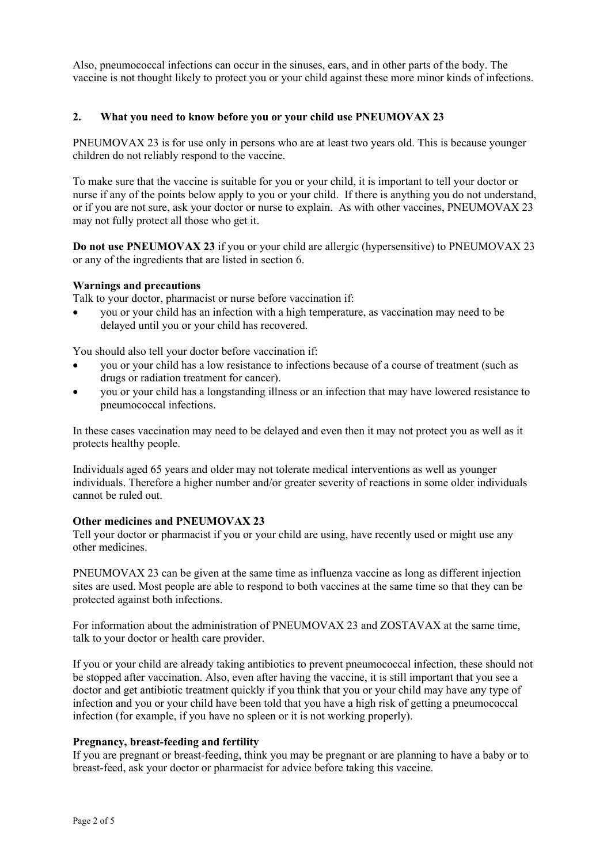Also, pneumococcal infections can occur in the sinuses, ears, and in other parts of the body. The vaccine is not thought likely to protect you or your child against these more minor kinds of infections.

### **2. What you need to know before you or your child use PNEUMOVAX 23**

PNEUMOVAX 23 is for use only in persons who are at least two years old. This is because younger children do not reliably respond to the vaccine.

To make sure that the vaccine is suitable for you or your child, it is important to tell your doctor or nurse if any of the points below apply to you or your child. If there is anything you do not understand, or if you are not sure, ask your doctor or nurse to explain. As with other vaccines, PNEUMOVAX 23 may not fully protect all those who get it.

**Do not use PNEUMOVAX 23** if you or your child are allergic (hypersensitive) to PNEUMOVAX 23 or any of the ingredients that are listed in section 6.

#### **Warnings and precautions**

Talk to your doctor, pharmacist or nurse before vaccination if:

• you or your child has an infection with a high temperature, as vaccination may need to be delayed until you or your child has recovered.

You should also tell your doctor before vaccination if:

- you or your child has a low resistance to infections because of a course of treatment (such as drugs or radiation treatment for cancer).
- you or your child has a longstanding illness or an infection that may have lowered resistance to pneumococcal infections.

In these cases vaccination may need to be delayed and even then it may not protect you as well as it protects healthy people.

Individuals aged 65 years and older may not tolerate medical interventions as well as younger individuals. Therefore a higher number and/or greater severity of reactions in some older individuals cannot be ruled out.

#### **Other medicines and PNEUMOVAX 23**

Tell your doctor or pharmacist if you or your child are using, have recently used or might use any other medicines.

PNEUMOVAX 23 can be given at the same time as influenza vaccine as long as different injection sites are used. Most people are able to respond to both vaccines at the same time so that they can be protected against both infections.

For information about the administration of PNEUMOVAX 23 and ZOSTAVAX at the same time, talk to your doctor or health care provider.

If you or your child are already taking antibiotics to prevent pneumococcal infection, these should not be stopped after vaccination. Also, even after having the vaccine, it is still important that you see a doctor and get antibiotic treatment quickly if you think that you or your child may have any type of infection and you or your child have been told that you have a high risk of getting a pneumococcal infection (for example, if you have no spleen or it is not working properly).

#### **Pregnancy, breast-feeding and fertility**

If you are pregnant or breast-feeding, think you may be pregnant or are planning to have a baby or to breast-feed, ask your doctor or pharmacist for advice before taking this vaccine.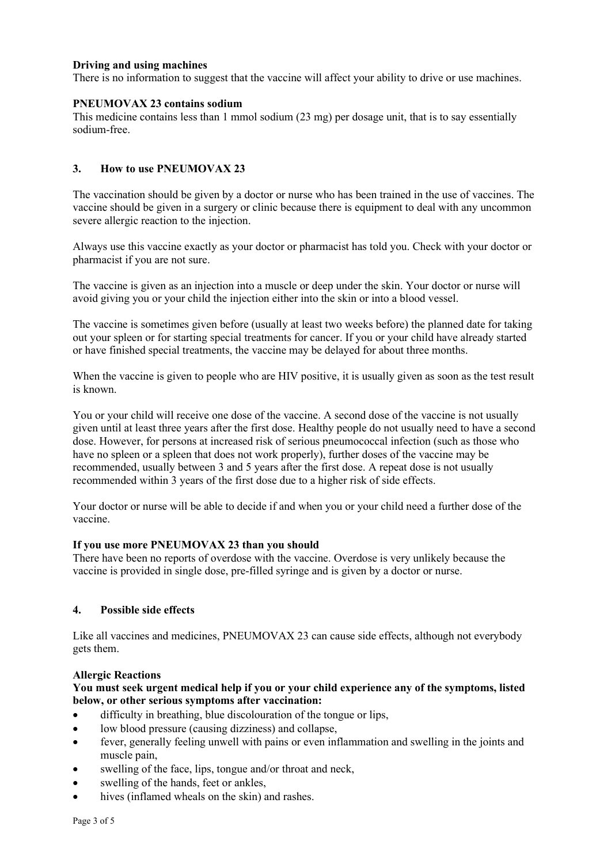### **Driving and using machines**

There is no information to suggest that the vaccine will affect your ability to drive or use machines.

### **PNEUMOVAX 23 contains sodium**

This medicine contains less than 1 mmol sodium (23 mg) per dosage unit, that is to say essentially sodium-free.

## **3. How to use PNEUMOVAX 23**

The vaccination should be given by a doctor or nurse who has been trained in the use of vaccines. The vaccine should be given in a surgery or clinic because there is equipment to deal with any uncommon severe allergic reaction to the injection.

Always use this vaccine exactly as your doctor or pharmacist has told you. Check with your doctor or pharmacist if you are not sure.

The vaccine is given as an injection into a muscle or deep under the skin. Your doctor or nurse will avoid giving you or your child the injection either into the skin or into a blood vessel.

The vaccine is sometimes given before (usually at least two weeks before) the planned date for taking out your spleen or for starting special treatments for cancer. If you or your child have already started or have finished special treatments, the vaccine may be delayed for about three months.

When the vaccine is given to people who are HIV positive, it is usually given as soon as the test result is known.

You or your child will receive one dose of the vaccine. A second dose of the vaccine is not usually given until at least three years after the first dose. Healthy people do not usually need to have a second dose. However, for persons at increased risk of serious pneumococcal infection (such as those who have no spleen or a spleen that does not work properly), further doses of the vaccine may be recommended, usually between 3 and 5 years after the first dose. A repeat dose is not usually recommended within 3 years of the first dose due to a higher risk of side effects.

Your doctor or nurse will be able to decide if and when you or your child need a further dose of the vaccine.

#### **If you use more PNEUMOVAX 23 than you should**

There have been no reports of overdose with the vaccine. Overdose is very unlikely because the vaccine is provided in single dose, pre-filled syringe and is given by a doctor or nurse.

#### **4. Possible side effects**

Like all vaccines and medicines, PNEUMOVAX 23 can cause side effects, although not everybody gets them.

#### **Allergic Reactions**

## **You must seek urgent medical help if you or your child experience any of the symptoms, listed below, or other serious symptoms after vaccination:**

- difficulty in breathing, blue discolouration of the tongue or lips,
- low blood pressure (causing dizziness) and collapse,
- fever, generally feeling unwell with pains or even inflammation and swelling in the joints and muscle pain,
- swelling of the face, lips, tongue and/or throat and neck,
- swelling of the hands, feet or ankles,
- hives (inflamed wheals on the skin) and rashes.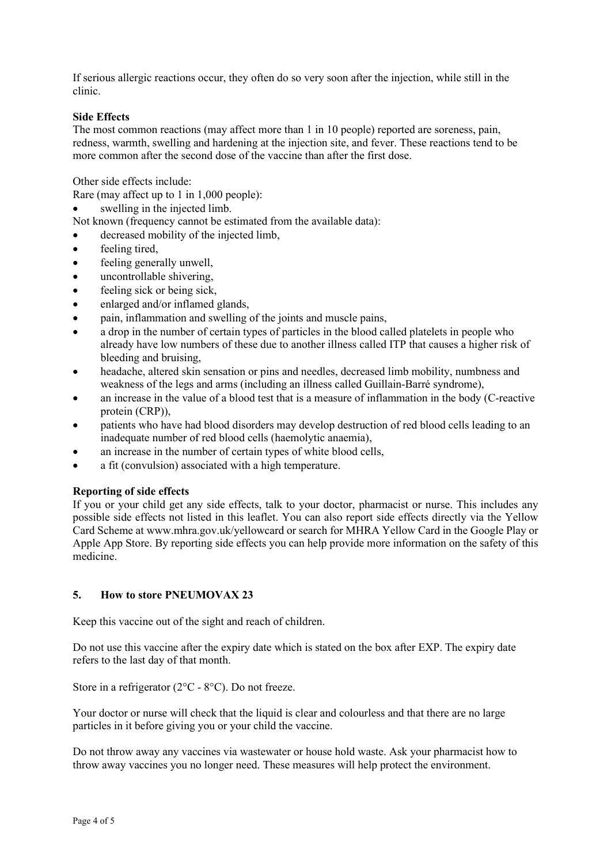If serious allergic reactions occur, they often do so very soon after the injection, while still in the clinic.

#### **Side Effects**

The most common reactions (may affect more than 1 in 10 people) reported are soreness, pain, redness, warmth, swelling and hardening at the injection site, and fever. These reactions tend to be more common after the second dose of the vaccine than after the first dose.

Other side effects include:

Rare (may affect up to 1 in 1,000 people):

• swelling in the injected limb.

Not known (frequency cannot be estimated from the available data):

- decreased mobility of the injected limb,
- feeling tired,
- feeling generally unwell,
- uncontrollable shivering,
- feeling sick or being sick.
- enlarged and/or inflamed glands,
- pain, inflammation and swelling of the joints and muscle pains,
- a drop in the number of certain types of particles in the blood called platelets in people who already have low numbers of these due to another illness called ITP that causes a higher risk of bleeding and bruising,
- headache, altered skin sensation or pins and needles, decreased limb mobility, numbness and weakness of the legs and arms (including an illness called Guillain-Barré syndrome),
- an increase in the value of a blood test that is a measure of inflammation in the body (C-reactive protein (CRP)),
- patients who have had blood disorders may develop destruction of red blood cells leading to an inadequate number of red blood cells (haemolytic anaemia),
- an increase in the number of certain types of white blood cells,
- a fit (convulsion) associated with a high temperature.

#### **Reporting of side effects**

If you or your child get any side effects, talk to your doctor, pharmacist or nurse. This includes any possible side effects not listed in this leaflet. You can also report side effects directly via the Yellow Card Scheme at www.mhra.gov.uk/yellowcard or search for MHRA Yellow Card in the Google Play or Apple App Store. By reporting side effects you can help provide more information on the safety of this medicine.

#### **5. How to store PNEUMOVAX 23**

Keep this vaccine out of the sight and reach of children.

Do not use this vaccine after the expiry date which is stated on the box after EXP. The expiry date refers to the last day of that month.

Store in a refrigerator ( $2^{\circ}$ C -  $8^{\circ}$ C). Do not freeze.

Your doctor or nurse will check that the liquid is clear and colourless and that there are no large particles in it before giving you or your child the vaccine.

Do not throw away any vaccines via wastewater or house hold waste. Ask your pharmacist how to throw away vaccines you no longer need. These measures will help protect the environment.